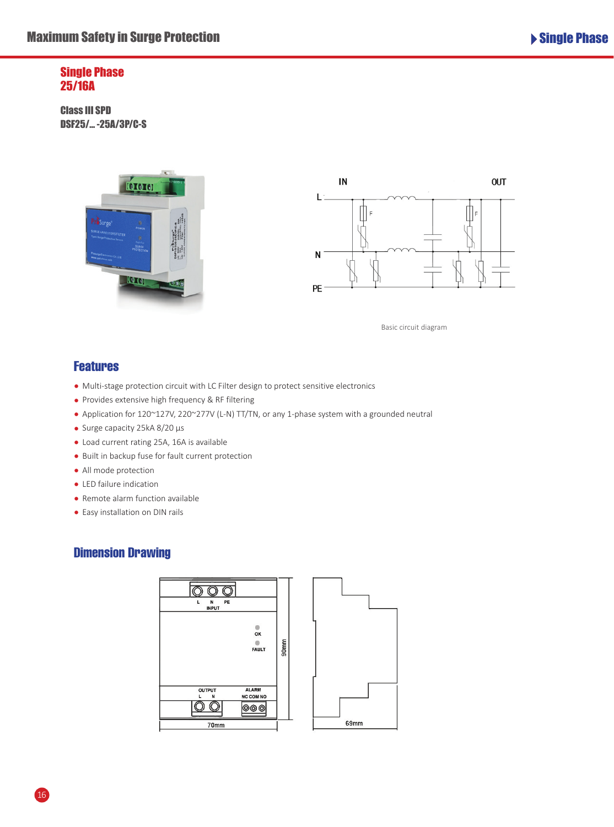#### Single Phase 25/16A

Class III SPD DSF25/… -25A/3P/C-S





Basic circuit diagram

## **Features**

- Multi-stage protection circuit with LC Filter design to protect sensitive electronics
- Provides extensive high frequency & RF filtering
- Application for 120~127V, 220~277V (L-N) TT/TN, or any 1-phase system with a grounded neutral
- Surge capacity 25kA 8/20 μs
- Load current rating 25A, 16A is available
- Built in backup fuse for fault current protection
- All mode protection
- LED failure indication
- Remote alarm function available
- Easy installation on DIN rails

### Dimension Drawing



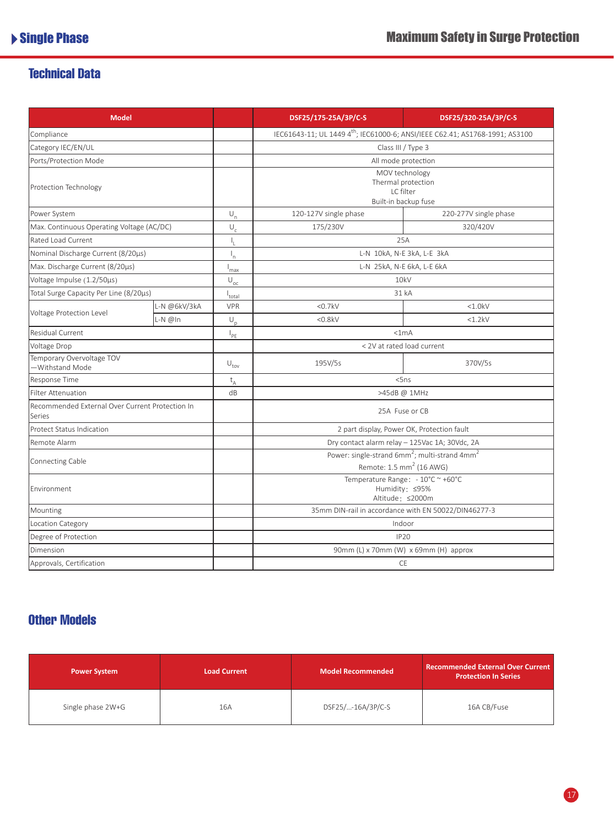## Technical Data

| <b>Model</b>                                              |              |                                 | DSF25/175-25A/3P/C-S                                                                                          | DSF25/320-25A/3P/C-S  |
|-----------------------------------------------------------|--------------|---------------------------------|---------------------------------------------------------------------------------------------------------------|-----------------------|
| Compliance                                                |              |                                 | IEC61643-11; UL 1449 4 <sup>th</sup> ; IEC61000-6; ANSI/IEEE C62.41; AS1768-1991; AS3100                      |                       |
| Category IEC/EN/UL                                        |              |                                 | Class III / Type 3                                                                                            |                       |
| Ports/Protection Mode                                     |              |                                 | All mode protection                                                                                           |                       |
| Protection Technology                                     |              |                                 | MOV technology<br>Thermal protection<br>LC filter<br>Built-in backup fuse                                     |                       |
| Power System                                              |              | $U_{n}$                         | 120-127V single phase                                                                                         | 220-277V single phase |
| Max. Continuous Operating Voltage (AC/DC)                 |              | $\cup_{_{\text{\tiny C}}}$      | 175/230V                                                                                                      | 320/420V              |
| Rated Load Current                                        |              |                                 | 25A                                                                                                           |                       |
| Nominal Discharge Current (8/20µs)                        |              | $\mathsf{I}_n$                  | L-N 10kA, N-E 3kA, L-E 3kA                                                                                    |                       |
| Max. Discharge Current (8/20µs)                           |              | $I_{\text{max}}$                | L-N 25kA, N-E 6kA, L-E 6kA                                                                                    |                       |
| Voltage Impulse (1.2/50µs)                                |              | $\overline{U_{\underline{oc}}}$ | 10kV                                                                                                          |                       |
| Total Surge Capacity Per Line (8/20µs)                    |              | l <sub>total</sub>              | 31 kA                                                                                                         |                       |
| Voltage Protection Level                                  | L-N @6kV/3kA | <b>VPR</b>                      | $<$ 0.7 $kV$                                                                                                  | < 1.0kV               |
|                                                           | $L-N$ @In    | $U_p$                           | $<$ 0.8 $kV$                                                                                                  | <1.2kV                |
| Residual Current                                          |              | $I_{PE}$                        | <1mA                                                                                                          |                       |
| Voltage Drop                                              |              |                                 | < 2V at rated load current                                                                                    |                       |
| Temporary Overvoltage TOV<br>-Withstand Mode              |              | $U_{\text{tov}}$                | 195V/5s                                                                                                       | 370V/5s               |
| Response Time                                             |              | $t_A$                           | 5ns                                                                                                           |                       |
| Filter Attenuation                                        |              | dB                              | >45dB @ 1MHz                                                                                                  |                       |
| Recommended External Over Current Protection In<br>Series |              |                                 | 25A Fuse or CB                                                                                                |                       |
| <b>Protect Status Indication</b>                          |              |                                 | 2 part display, Power OK, Protection fault                                                                    |                       |
| Remote Alarm                                              |              |                                 | Dry contact alarm relay - 125Vac 1A; 30Vdc, 2A                                                                |                       |
| Connecting Cable                                          |              |                                 | Power: single-strand 6mm <sup>2</sup> ; multi-strand 4mm <sup>2</sup><br>Remote: 1.5 mm <sup>2</sup> (16 AWG) |                       |
| Environment                                               |              |                                 | Temperature Range: - 10°C ~ +60°C<br>Humidity: ≤95%<br>Altitude: ≤2000m                                       |                       |
| Mounting                                                  |              |                                 | 35mm DIN-rail in accordance with EN 50022/DIN46277-3                                                          |                       |
| Location Category                                         |              |                                 | Indoor                                                                                                        |                       |
| Degree of Protection                                      |              |                                 | <b>IP20</b>                                                                                                   |                       |
| Dimension                                                 |              |                                 | 90mm (L) x 70mm (W) x 69mm (H) approx                                                                         |                       |
| Approvals, Certification                                  |              |                                 | <b>CE</b>                                                                                                     |                       |

## Other Models

| <b>Power System</b> | <b>Load Current</b> | <b>Model Recommended</b> | <b>Recommended External Over Current</b><br><b>Protection In Series</b> |
|---------------------|---------------------|--------------------------|-------------------------------------------------------------------------|
| Single phase 2W+G   | 16A                 | DSF25/-16A/3P/C-S        | 16A CB/Fuse                                                             |